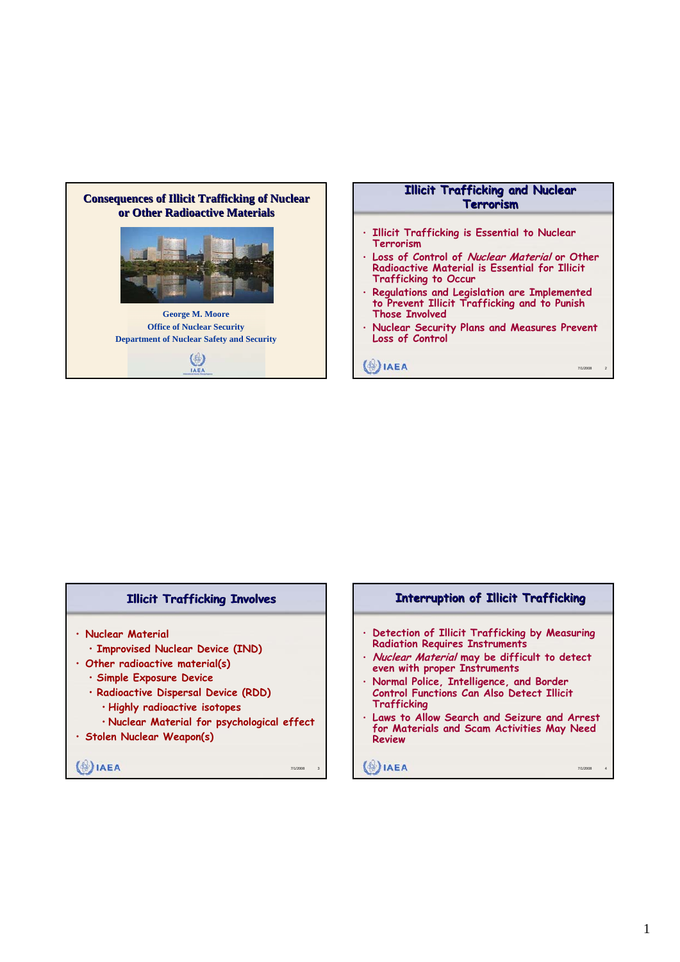

### **Illicit Trafficking Involves**

- **Nuclear Material**
	- **Improvised Nuclear Device (IND)**
- **Other radioactive material(s)**
	- **Simple Exposure Device**
	- **Radioactive Dispersal Device (RDD)**
	- **Highly radioactive isotopes**
	- **Nuclear Material for psychological effect**
- **Stolen Nuclear Weapon(s)**

 $\binom{4}{2}$ **IAEA** 

#### **Interruption of Illicit Trafficking**

- **Detection of Illicit Trafficking by Measuring Radiation Requires Instruments**
- **Nuclear Material may be difficult to detect even with proper Instruments**
- **Normal Police, Intelligence, and Border Control Functions Can Also Detect Illicit Trafficking**
- **Laws to Allow Search and Seizure and Arrest for Materials and Scam Activities May Need Review**

## $\binom{4}{2}$ **IAEA**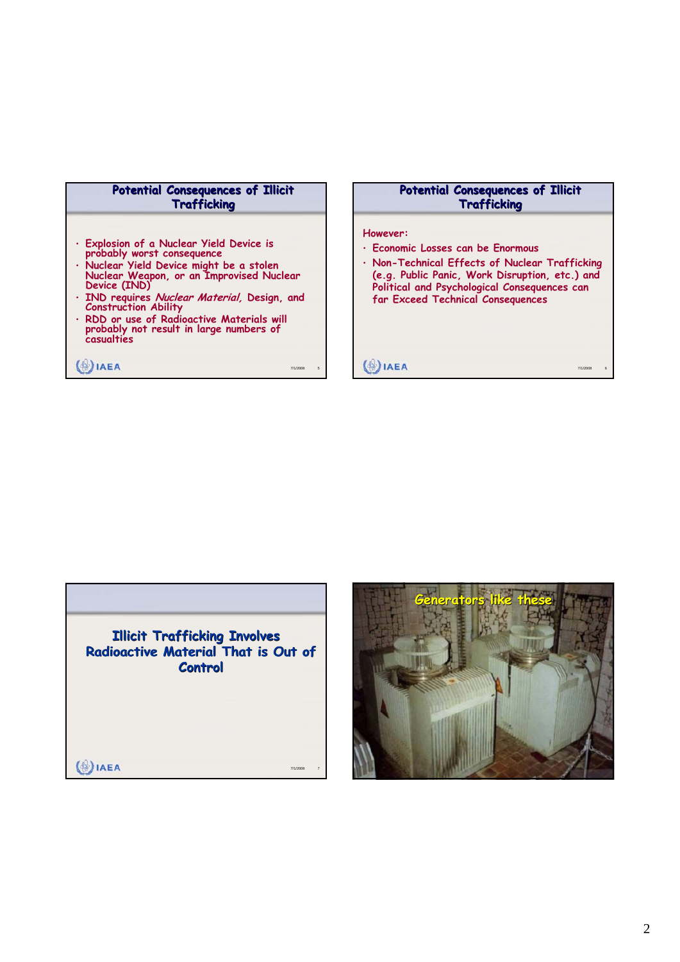| Potential Consequences of Illicit |                    |  |
|-----------------------------------|--------------------|--|
|                                   | <b>Trafficking</b> |  |

- **Explosion of a Nuclear Yield Device is probably worst consequence**
- **Nuclear Yield Device might be a stolen Nuclear Weapon, or an Improvised Nuclear Device (IND)**
- **IND requires Nuclear Material, Design, and Construction Ability**
- **RDD or use of Radioactive Materials will probably not result in large numbers of casualties**

**IAEA** 7/1/2008 5

### **Potential Consequences of Illicit Trafficking**

#### **However:**

- **Economic Losses can be Enormous**
- **Non-Technical Effects of Nuclear Trafficking (e.g. Public Panic, Work Disruption, etc.) and Political and Psychological Consequences can far Exceed Technical Consequences**

**(**<sup>8</sup>) IAEA



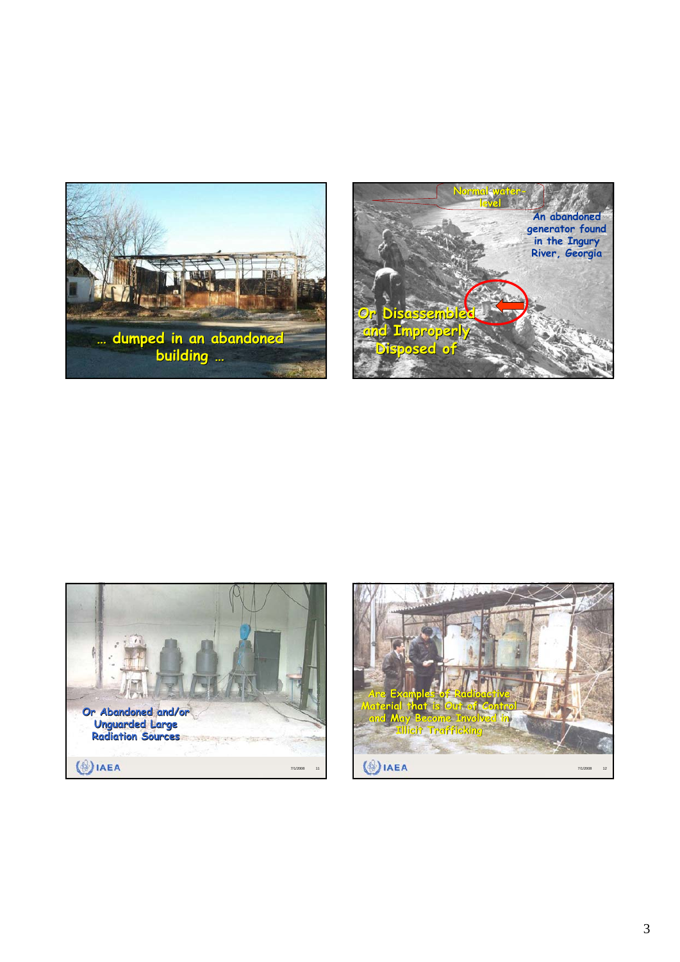





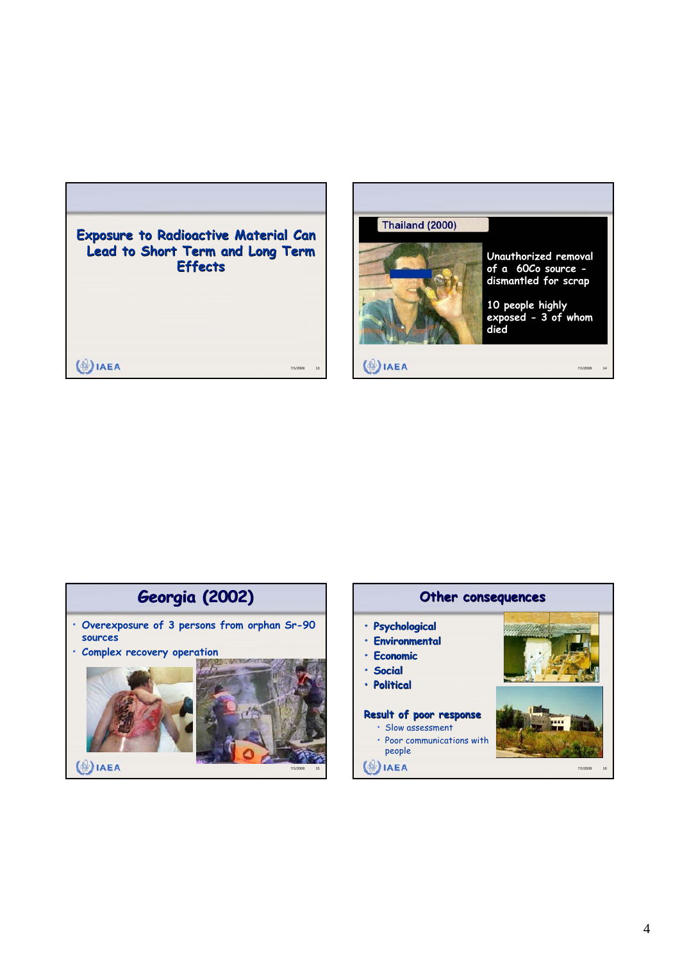



# **Georgia (2002) Georgia (2002)**

- **Overexposure of 3 persons from orphan Sr-90 sources**
- **Complex recovery operation**



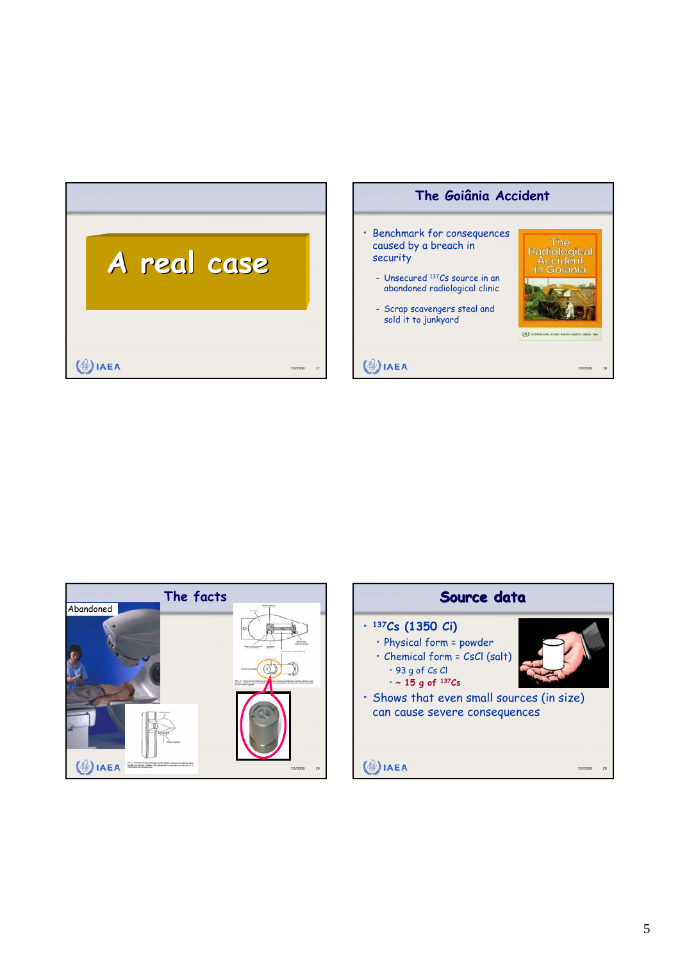| A real case |          |    |
|-------------|----------|----|
|             |          |    |
| EA          | 7/1/2008 | 17 |





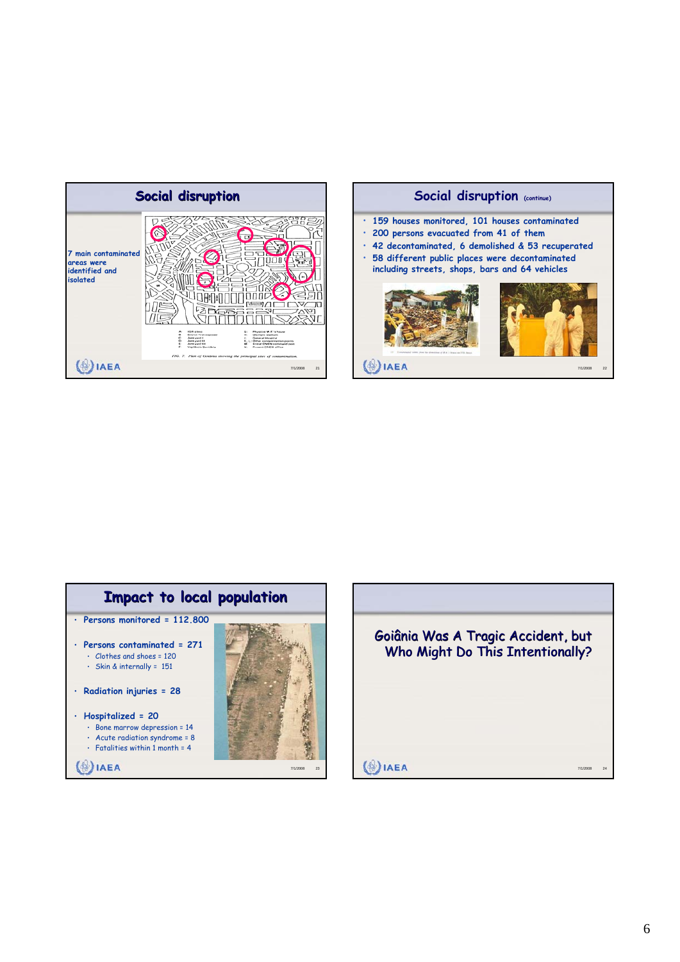





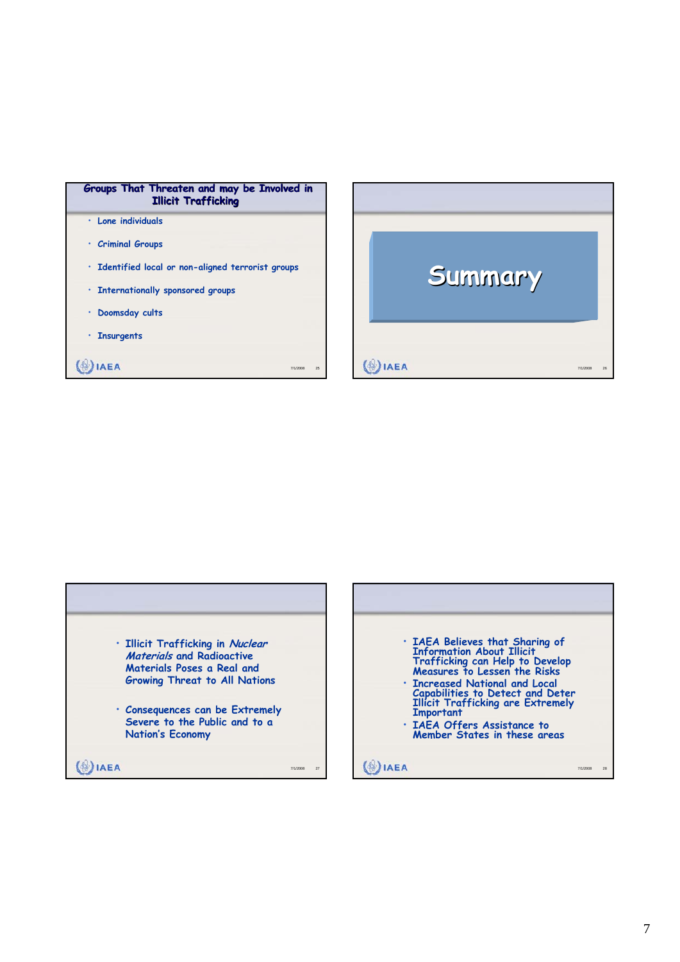